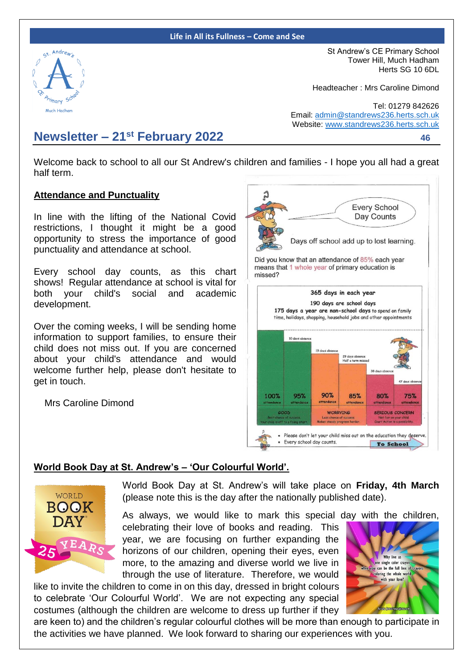#### **Life in All its Fullness – Come and See**



St Andrew's CE Primary School Tower Hill, Much Hadham Herts SG 10 6DL

Headteacher : Mrs Caroline Dimond

Tel: 01279 842626 Email: [admin@standrews236.herts.sch.uk](mailto:admin@standrews236.herts.sch.uk) Website: [www.standrews236.herts.sch.uk](http://www.standrews236.herts.sch.uk/)

# **Newsletter – 21st February 2022<sup>46</sup>**

Welcome back to school to all our St Andrew's children and families - I hope you all had a great half term.

#### **Attendance and Punctuality**

In line with the lifting of the National Covid restrictions, I thought it might be a good opportunity to stress the importance of good punctuality and attendance at school.

Every school day counts, as this chart shows! Regular attendance at school is vital for both your child's social and academic development.

Over the coming weeks, I will be sending home information to support families, to ensure their child does not miss out. If you are concerned about your child's attendance and would welcome further help, please don't hesitate to get in touch.

Mrs Caroline Dimond



#### **World Book Day at St. Andrew's – 'Our Colourful World'.**



World Book Day at St. Andrew's will take place on **Friday, 4th March**  (please note this is the day after the nationally published date).

As always, we would like to mark this special day with the children, celebrating their love of books and reading. This year, we are focusing on further expanding the horizons of our children, opening their eyes, even more, to the amazing and diverse world we live in through the use of literature. Therefore, we would

like to invite the children to come in on this day, dressed in bright colours to celebrate 'Our Colourful World'. We are not expecting any special costumes (although the children are welcome to dress up further if they



are keen to) and the children's regular colourful clothes will be more than enough to participate in the activities we have planned. We look forward to sharing our experiences with you.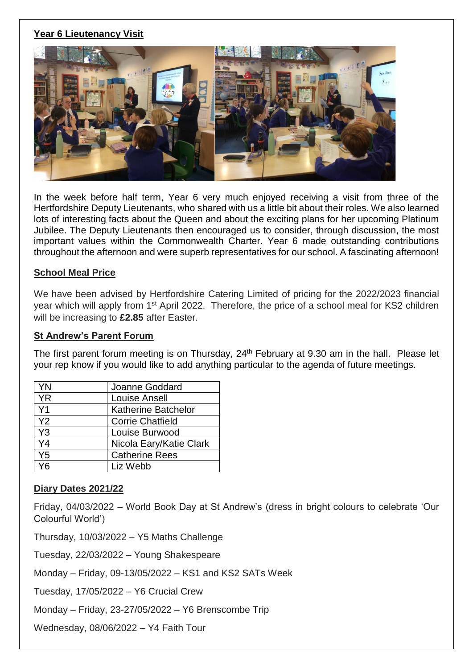# **Year 6 Lieutenancy Visit**



In the week before half term, Year 6 very much enjoyed receiving a visit from three of the Hertfordshire Deputy Lieutenants, who shared with us a little bit about their roles. We also learned lots of interesting facts about the Queen and about the exciting plans for her upcoming Platinum Jubilee. The Deputy Lieutenants then encouraged us to consider, through discussion, the most important values within the Commonwealth Charter. Year 6 made outstanding contributions throughout the afternoon and were superb representatives for our school. A fascinating afternoon!

#### **School Meal Price**

We have been advised by Hertfordshire Catering Limited of pricing for the 2022/2023 financial year which will apply from 1<sup>st</sup> April 2022. Therefore, the price of a school meal for KS2 children will be increasing to **£2.85** after Easter.

#### **St Andrew's Parent Forum**

The first parent forum meeting is on Thursday, 24<sup>th</sup> February at 9.30 am in the hall. Please let your rep know if you would like to add anything particular to the agenda of future meetings.

| YN             | Joanne Goddard             |  |
|----------------|----------------------------|--|
| <b>YR</b>      | <b>Louise Ansell</b>       |  |
| Y <sub>1</sub> | <b>Katherine Batchelor</b> |  |
| Y2             | <b>Corrie Chatfield</b>    |  |
| Y <sub>3</sub> | Louise Burwood             |  |
| Y4             | Nicola Eary/Katie Clark    |  |
| $Y_5$          | <b>Catherine Rees</b>      |  |
| /ค             | Liz Webb                   |  |

### **Diary Dates 2021/22**

Friday, 04/03/2022 – World Book Day at St Andrew's (dress in bright colours to celebrate 'Our Colourful World')

Thursday, 10/03/2022 – Y5 Maths Challenge

Tuesday, 22/03/2022 – Young Shakespeare

Monday – Friday, 09-13/05/2022 – KS1 and KS2 SATs Week

Tuesday, 17/05/2022 – Y6 Crucial Crew

Monday – Friday, 23-27/05/2022 – Y6 Brenscombe Trip

Wednesday, 08/06/2022 – Y4 Faith Tour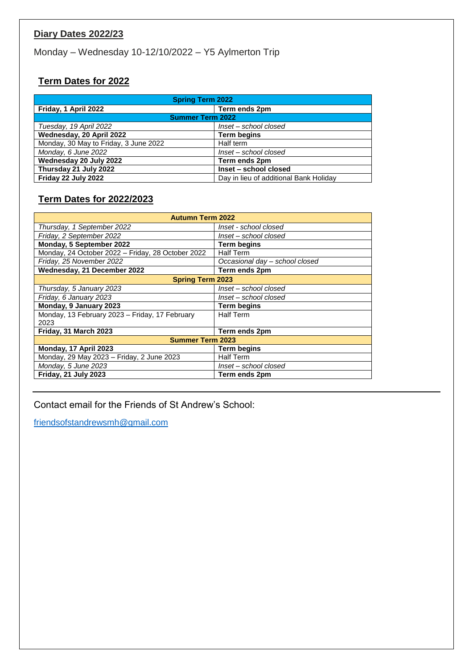# **Diary Dates 2022/23**

Monday – Wednesday 10-12/10/2022 – Y5 Aylmerton Trip

# **Term Dates for 2022**

| <b>Spring Term 2022</b>               |                                        |  |
|---------------------------------------|----------------------------------------|--|
| Friday, 1 April 2022                  | Term ends 2pm                          |  |
| <b>Summer Term 2022</b>               |                                        |  |
| Tuesday, 19 April 2022                | Inset - school closed                  |  |
| Wednesday, 20 April 2022              | <b>Term begins</b>                     |  |
| Monday, 30 May to Friday, 3 June 2022 | Half term                              |  |
| Monday, 6 June 2022                   | Inset - school closed                  |  |
| Wednesday 20 July 2022                | Term ends 2pm                          |  |
| Thursday 21 July 2022                 | Inset - school closed                  |  |
| Friday 22 July 2022                   | Day in lieu of additional Bank Holiday |  |

# **Term Dates for 2022/2023**

| <b>Autumn Term 2022</b>                           |                                |  |  |
|---------------------------------------------------|--------------------------------|--|--|
| Thursday, 1 September 2022                        | Inset - school closed          |  |  |
| Friday, 2 September 2022                          | Inset – school closed          |  |  |
| Monday, 5 September 2022                          | <b>Term begins</b>             |  |  |
| Monday, 24 October 2022 - Friday, 28 October 2022 | <b>Half Term</b>               |  |  |
| Friday, 25 November 2022                          | Occasional day - school closed |  |  |
| Wednesday, 21 December 2022                       | Term ends 2pm                  |  |  |
| <b>Spring Term 2023</b>                           |                                |  |  |
| Thursday, 5 January 2023                          | Inset – school closed          |  |  |
| Friday, 6 January 2023                            | Inset – school closed          |  |  |
| Monday, 9 January 2023                            | <b>Term begins</b>             |  |  |
| Monday, 13 February 2023 - Friday, 17 February    | <b>Half Term</b>               |  |  |
| 2023                                              |                                |  |  |
| Friday, 31 March 2023                             | Term ends 2pm                  |  |  |
| <b>Summer Term 2023</b>                           |                                |  |  |
| Monday, 17 April 2023                             | Term begins                    |  |  |
| Monday, 29 May 2023 - Friday, 2 June 2023         | <b>Half Term</b>               |  |  |
| Monday, 5 June 2023                               | Inset – school closed          |  |  |
| Friday, 21 July 2023                              | Term ends 2pm                  |  |  |

Contact email for the Friends of St Andrew's School:

[friendsofstandrewsmh@gmail.com](mailto:friendsofstandrewsmh@gmail.com)